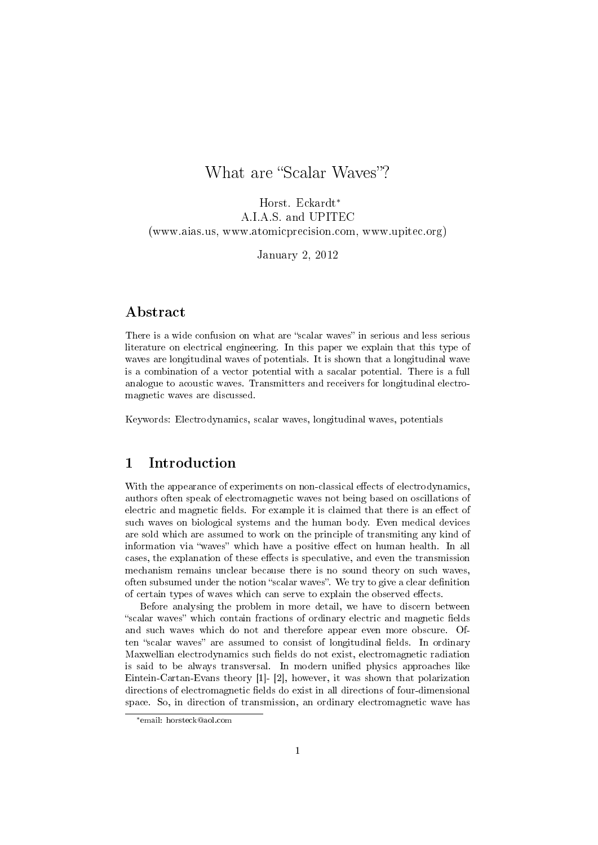# What are "Scalar Waves"?

Horst. Eckardt<sup>∗</sup> A.I.A.S. and UPITEC (www.aias.us, www.atomicprecision.com, www.upitec.org)

January 2, 2012

## Abstract

There is a wide confusion on what are "scalar waves" in serious and less serious literature on electrical engineering. In this paper we explain that this type of waves are longitudinal waves of potentials. It is shown that a longitudinal wave is a combination of a vector potential with a sacalar potential. There is a full analogue to acoustic waves. Transmitters and receivers for longitudinal electromagnetic waves are discussed.

Keywords: Electrodynamics, scalar waves, longitudinal waves, potentials

# 1 Introduction

With the appearance of experiments on non-classical effects of electrodynamics, authors often speak of electromagnetic waves not being based on oscillations of electric and magnetic fields. For example it is claimed that there is an effect of such waves on biological systems and the human body. Even medical devices are sold which are assumed to work on the principle of transmiting any kind of information via "waves" which have a positive effect on human health. In all cases, the explanation of these effects is speculative, and even the transmission mechanism remains unclear because there is no sound theory on such waves, often subsumed under the notion "scalar waves". We try to give a clear definition of certain types of waves which can serve to explain the observed effects.

Before analysing the problem in more detail, we have to discern between "scalar waves" which contain fractions of ordinary electric and magnetic fields and such waves which do not and therefore appear even more obscure. Often "scalar waves" are assumed to consist of longitudinal fields. In ordinary Maxwellian electrodynamics such fields do not exist, electromagnetic radiation is said to be always transversal. In modern unified physics approaches like Eintein-Cartan-Evans theory [1]- [2], however, it was shown that polarization directions of electromagnetic fields do exist in all directions of four-dimensional space. So, in direction of transmission, an ordinary electromagnetic wave has

<sup>∗</sup>email: horsteck@aol.com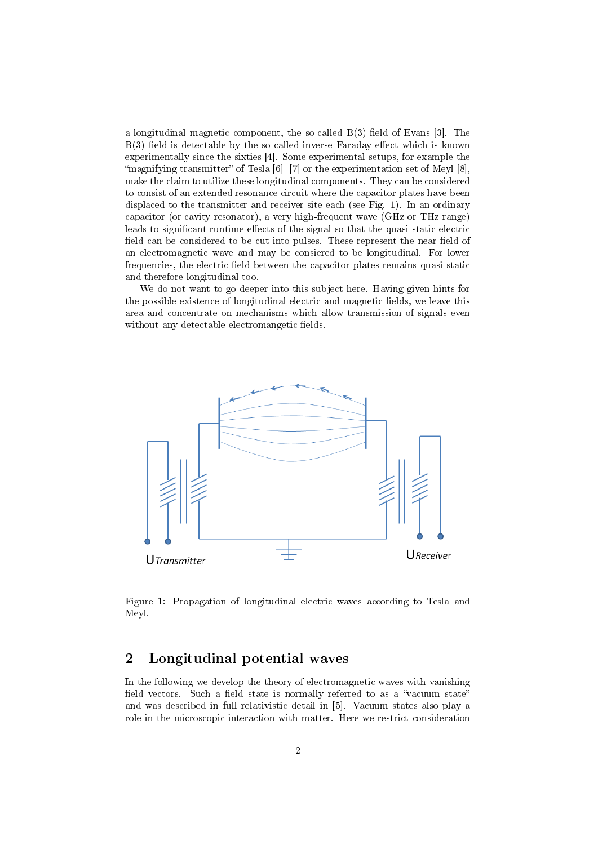a longitudinal magnetic component, the so-called  $B(3)$  field of Evans [3]. The  $B(3)$  field is detectable by the so-called inverse Faraday effect which is known experimentally since the sixties [4]. Some experimental setups, for example the "magnifying transmitter" of Tesla  $[6]$ -  $[7]$  or the experimentation set of Meyl  $[8]$ , make the claim to utilize these longitudinal components. They can be considered to consist of an extended resonance circuit where the capacitor plates have been displaced to the transmitter and receiver site each (see Fig. 1). In an ordinary capacitor (or cavity resonator), a very high-frequent wave (GHz or THz range) leads to significant runtime effects of the signal so that the quasi-static electric field can be considered to be cut into pulses. These represent the near-field of an electromagnetic wave and may be consiered to be longitudinal. For lower frequencies, the electric field between the capacitor plates remains quasi-static and therefore longitudinal too.

We do not want to go deeper into this subject here. Having given hints for the possible existence of longitudinal electric and magnetic fields, we leave this area and concentrate on mechanisms which allow transmission of signals even without any detectable electromangetic fields.



Figure 1: Propagation of longitudinal electric waves according to Tesla and Meyl.

# 2 Longitudinal potential waves

In the following we develop the theory of electromagnetic waves with vanishing field vectors. Such a field state is normally referred to as a "vacuum state" and was described in full relativistic detail in [5]. Vacuum states also play a role in the microscopic interaction with matter. Here we restrict consideration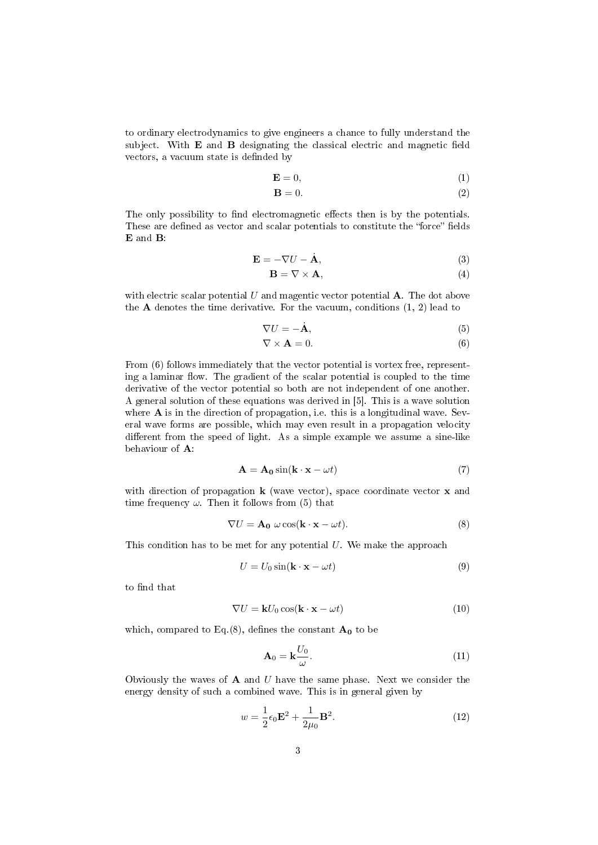to ordinary electrodynamics to give engineers a chance to fully understand the subject. With  $E$  and  $B$  designating the classical electric and magnetic field vectors, a vacuum state is definded by

$$
\mathbf{E} = 0,\tag{1}
$$

$$
\mathbf{B} = 0.\tag{2}
$$

The only possibility to find electromagnetic effects then is by the potentials. These are defined as vector and scalar potentials to constitute the "force" fields E and B:

$$
\mathbf{E} = -\nabla U - \dot{\mathbf{A}},\tag{3}
$$

$$
\mathbf{B} = \nabla \times \mathbf{A},\tag{4}
$$

with electric scalar potential U and magentic vector potential  $\bf{A}$ . The dot above the  $A$  denotes the time derivative. For the vacuum, conditions  $(1, 2)$  lead to

$$
\nabla U = -\dot{\mathbf{A}},\tag{5}
$$

$$
\nabla \times \mathbf{A} = 0. \tag{6}
$$

From (6) follows immediately that the vector potential is vortex free, representing a laminar flow. The gradient of the scalar potential is coupled to the time derivative of the vector potential so both are not independent of one another. A general solution of these equations was derived in [5]. This is a wave solution where **A** is in the direction of propagation, i.e. this is a longitudinal wave. Several wave forms are possible, which may even result in a propagation velocity different from the speed of light. As a simple example we assume a sine-like behaviour of A:

$$
\mathbf{A} = \mathbf{A_0} \sin(\mathbf{k} \cdot \mathbf{x} - \omega t) \tag{7}
$$

with direction of propagation  $k$  (wave vector), space coordinate vector  $x$  and time frequency  $\omega$ . Then it follows from (5) that

$$
\nabla U = \mathbf{A_0} \; \omega \cos(\mathbf{k} \cdot \mathbf{x} - \omega t). \tag{8}
$$

This condition has to be met for any potential  $U$ . We make the approach

$$
U = U_0 \sin(\mathbf{k} \cdot \mathbf{x} - \omega t) \tag{9}
$$

to find that

$$
\nabla U = \mathbf{k} U_0 \cos(\mathbf{k} \cdot \mathbf{x} - \omega t) \tag{10}
$$

which, compared to Eq.(8), defines the constant  $A_0$  to be

$$
\mathbf{A}_0 = \mathbf{k} \frac{U_0}{\omega}.
$$
 (11)

Obviously the waves of  $A$  and  $U$  have the same phase. Next we consider the energy density of such a combined wave. This is in general given by

$$
w = \frac{1}{2}\epsilon_0 \mathbf{E}^2 + \frac{1}{2\mu_0} \mathbf{B}^2.
$$
 (12)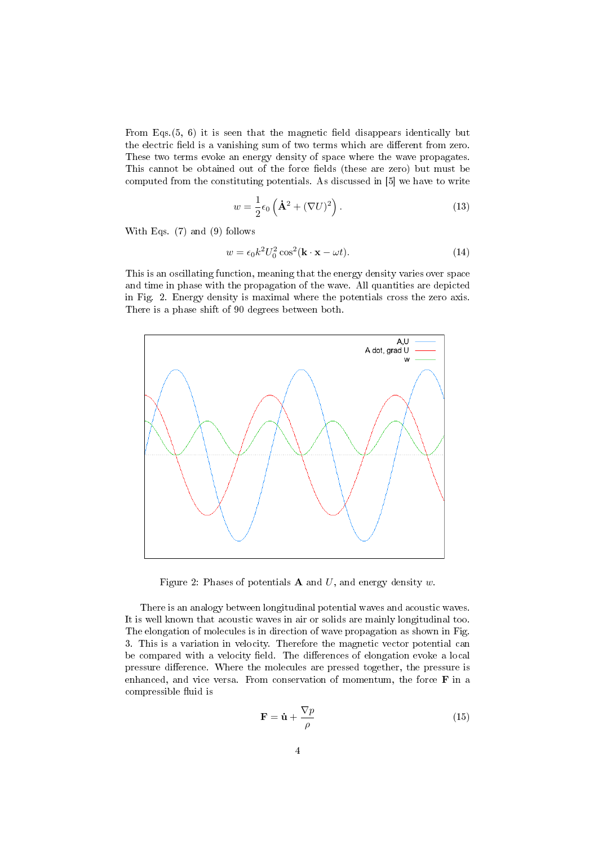From Eqs. $(5, 6)$  it is seen that the magnetic field disappears identically but the electric field is a vanishing sum of two terms which are different from zero. These two terms evoke an energy density of space where the wave propagates. This cannot be obtained out of the force fields (these are zero) but must be computed from the constituting potentials. As discussed in [5] we have to write

$$
w = \frac{1}{2}\epsilon_0 \left(\dot{\mathbf{A}}^2 + (\nabla U)^2\right). \tag{13}
$$

With Eqs. (7) and (9) follows

$$
w = \epsilon_0 k^2 U_0^2 \cos^2(\mathbf{k} \cdot \mathbf{x} - \omega t). \tag{14}
$$

This is an oscillating function, meaning that the energy density varies over space and time in phase with the propagation of the wave. All quantities are depicted in Fig. 2. Energy density is maximal where the potentials cross the zero axis. There is a phase shift of 90 degrees between both.



Figure 2: Phases of potentials **A** and  $U$ , and energy density  $w$ .

There is an analogy between longitudinal potential waves and acoustic waves. It is well known that acoustic waves in air or solids are mainly longitudinal too. The elongation of molecules is in direction of wave propagation as shown in Fig. 3. This is a variation in velocity. Therefore the magnetic vector potential can be compared with a velocity field. The differences of elongation evoke a local pressure difference. Where the molecules are pressed together, the pressure is enhanced, and vice versa. From conservation of momentum, the force F in a compressible fluid is

$$
\mathbf{F} = \dot{\mathbf{u}} + \frac{\nabla p}{\rho} \tag{15}
$$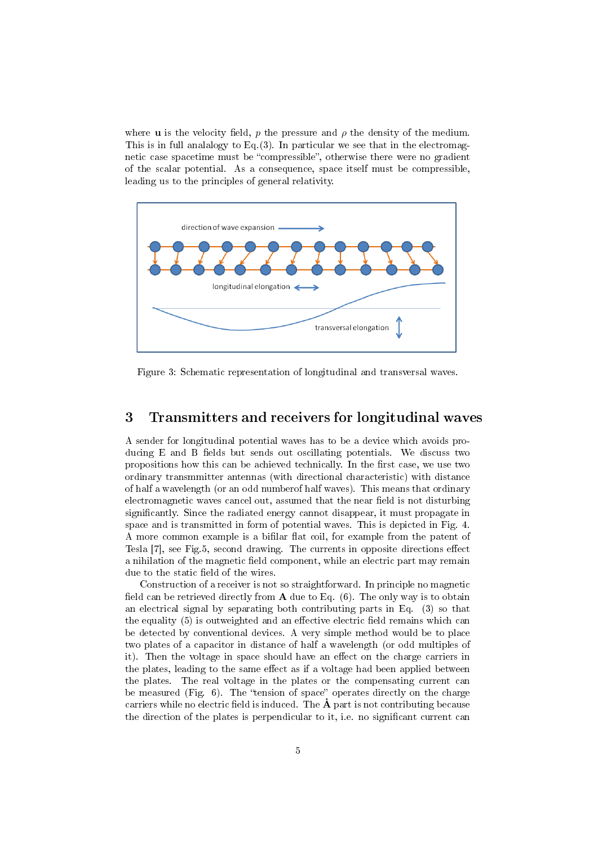where **u** is the velocity field, p the pressure and  $\rho$  the density of the medium. This is in full analalogy to Eq.  $(3)$ . In particular we see that in the electromagnetic case spacetime must be "compressible", otherwise there were no gradient of the scalar potential. As a consequence, space itself must be compressible, leading us to the principles of general relativity.



Figure 3: Schematic representation of longitudinal and transversal waves.

### 3 Transmitters and receivers for longitudinal waves

A sender for longitudinal potential waves has to be a device which avoids producing  $E$  and  $B$  fields but sends out oscillating potentials. We discuss two propositions how this can be achieved technically. In the first case, we use two ordinary transmmitter antennas (with directional characteristic) with distance of half a wavelength (or an odd numberof half waves). This means that ordinary electromagnetic waves cancel out, assumed that the near field is not disturbing signicantly. Since the radiated energy cannot disappear, it must propagate in space and is transmitted in form of potential waves. This is depicted in Fig. 4. A more common example is a bifilar flat coil, for example from the patent of Tesla  $[7]$ , see Fig.5, second drawing. The currents in opposite directions effect a nihilation of the magnetic field component, while an electric part may remain due to the static field of the wires.

Construction of a receiver is not so straightforward. In principle no magnetic field can be retrieved directly from  $A$  due to Eq. (6). The only way is to obtain an electrical signal by separating both contributing parts in Eq. (3) so that the equality  $(5)$  is outweighted and an effective electric field remains which can be detected by conventional devices. A very simple method would be to place two plates of a capacitor in distance of half a wavelength (or odd multiples of it). Then the voltage in space should have an effect on the charge carriers in the plates, leading to the same effect as if a voltage had been applied between the plates. The real voltage in the plates or the compensating current can be measured (Fig.  $6$ ). The "tension of space" operates directly on the charge carriers while no electric field is induced. The  $\dot{\mathbf{A}}$  part is not contributing because the direction of the plates is perpendicular to it, i.e. no significant current can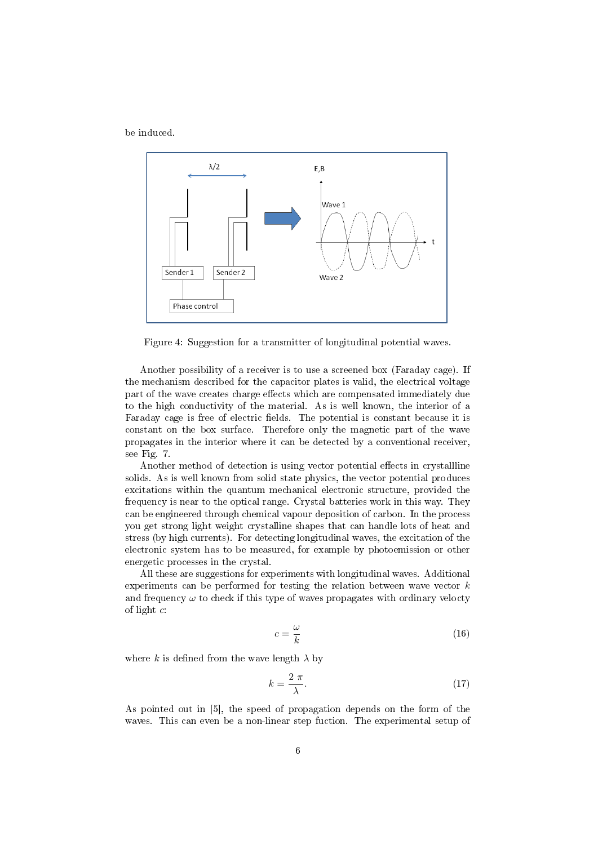be induced.



Figure 4: Suggestion for a transmitter of longitudinal potential waves.

Another possibility of a receiver is to use a screened box (Faraday cage). If the mechanism described for the capacitor plates is valid, the electrical voltage part of the wave creates charge effects which are compensated immediately due to the high conductivity of the material. As is well known, the interior of a Faraday cage is free of electric fields. The potential is constant because it is constant on the box surface. Therefore only the magnetic part of the wave propagates in the interior where it can be detected by a conventional receiver, see Fig. 7.

Another method of detection is using vector potential effects in crystallline solids. As is well known from solid state physics, the vector potential produces excitations within the quantum mechanical electronic structure, provided the frequency is near to the optical range. Crystal batteries work in this way. They can be engineered through chemical vapour deposition of carbon. In the process you get strong light weight crystalline shapes that can handle lots of heat and stress (by high currents). For detecting longitudinal waves, the excitation of the electronic system has to be measured, for example by photoemission or other energetic processes in the crystal.

All these are suggestions for experiments with longitudinal waves. Additional experiments can be performed for testing the relation between wave vector  $k$ and frequency  $\omega$  to check if this type of waves propagates with ordinary velocty of light c:

$$
c = \frac{\omega}{k} \tag{16}
$$

where k is defined from the wave length  $\lambda$  by

$$
k = \frac{2\pi}{\lambda}.\tag{17}
$$

As pointed out in [5], the speed of propagation depends on the form of the waves. This can even be a non-linear step fuction. The experimental setup of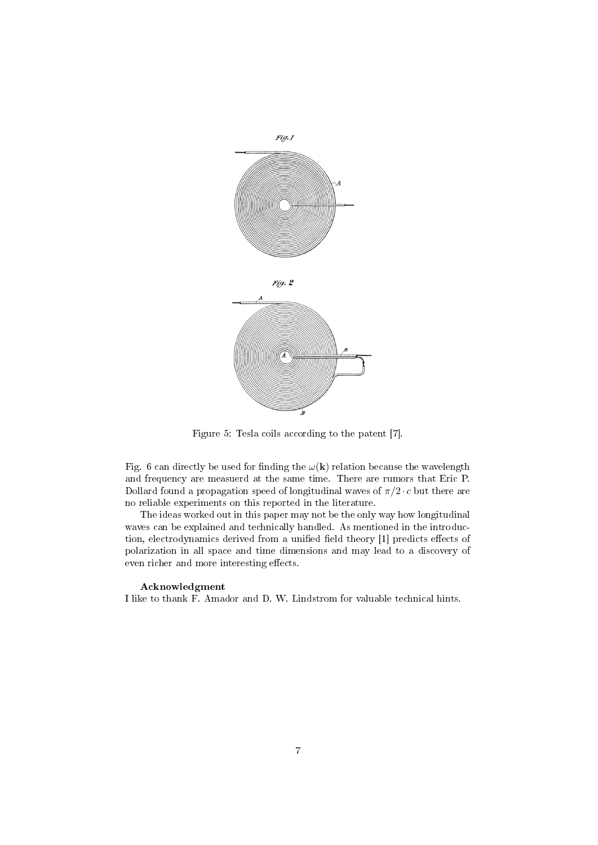

Figure 5: Tesla coils according to the patent [7].

Fig. 6 can directly be used for finding the  $\omega(\mathbf{k})$  relation because the wavelength and frequency are measuerd at the same time. There are rumors that Eric P. Dollard found a propagation speed of longitudinal waves of  $\pi/2 \cdot c$  but there are no reliable experiments on this reported in the literature.

The ideas worked out in this paper may not be the only way how longitudinal waves can be explained and technically handled. As mentioned in the introduction, electrodynamics derived from a unified field theory [1] predicts effects of polarization in all space and time dimensions and may lead to a discovery of even richer and more interesting effects.

#### Acknowledgment

I like to thank F. Amador and D. W. Lindstrom for valuable technical hints.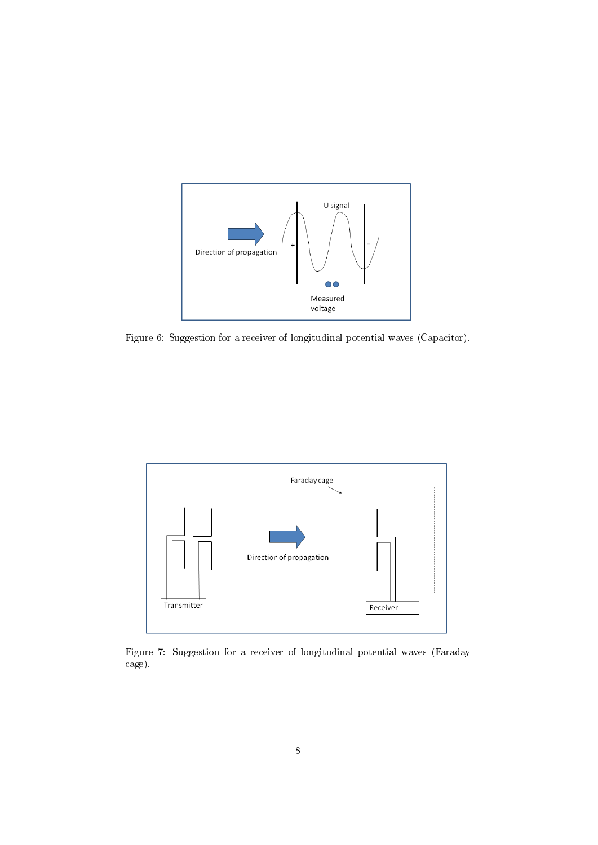

Figure 6: Suggestion for a receiver of longitudinal potential waves (Capacitor).



Figure 7: Suggestion for a receiver of longitudinal potential waves (Faraday cage).